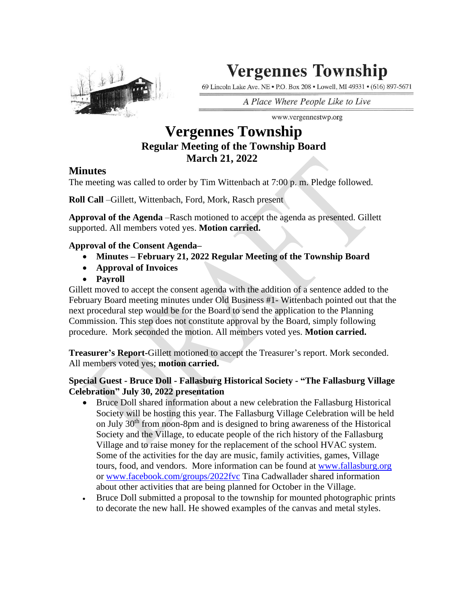

# **Vergennes Township**

69 Lincoln Lake Ave. NE . P.O. Box 208 . Lowell, MI 49331 . (616) 897-5671

A Place Where People Like to Live

# www.vergennestwp.org

## **Vergennes Township Regular Meeting of the Township Board March 21, 2022**

## **Minutes**

The meeting was called to order by Tim Wittenbach at 7:00 p. m. Pledge followed.

**Roll Call** –Gillett, Wittenbach, Ford, Mork, Rasch present

**Approval of the Agenda** –Rasch motioned to accept the agenda as presented. Gillett supported. All members voted yes. **Motion carried.** 

### **Approval of the Consent Agenda–**

- **Minutes – February 21, 2022 Regular Meeting of the Township Board**
- **Approval of Invoices**
- **Payroll**

Gillett moved to accept the consent agenda with the addition of a sentence added to the February Board meeting minutes under Old Business #1- Wittenbach pointed out that the next procedural step would be for the Board to send the application to the Planning Commission. This step does not constitute approval by the Board, simply following procedure. Mork seconded the motion. All members voted yes. **Motion carried.**

**Treasurer's Report-**Gillett motioned to accept the Treasurer's report. Mork seconded. All members voted yes; **motion carried.**

### **Special Guest - Bruce Doll - Fallasburg Historical Society - "The Fallasburg Village Celebration" July 30, 2022 presentation**

- Bruce Doll shared information about a new celebration the Fallasburg Historical Society will be hosting this year. The Fallasburg Village Celebration will be held on July 30<sup>th</sup> from noon-8pm and is designed to bring awareness of the Historical Society and the Village, to educate people of the rich history of the Fallasburg Village and to raise money for the replacement of the school HVAC system. Some of the activities for the day are music, family activities, games, Village tours, food, and vendors. More information can be found at [www.fallasburg.org](http://www.fallasburg.org/) or [www.facebook.com/groups/2022fvc](http://www.facebook.com/groups/2022fvc) Tina Cadwallader shared information about other activities that are being planned for October in the Village.
- Bruce Doll submitted a proposal to the township for mounted photographic prints to decorate the new hall. He showed examples of the canvas and metal styles.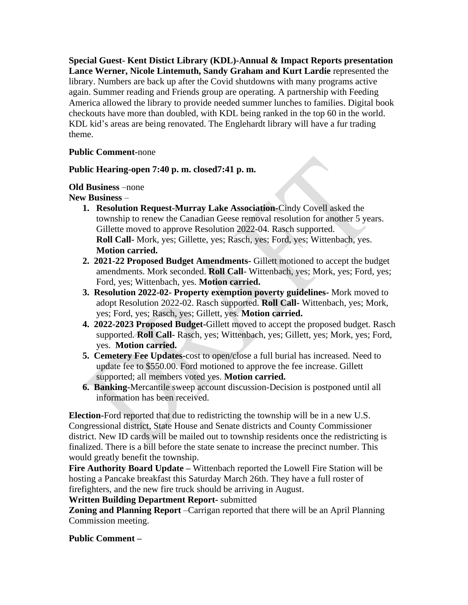**Special Guest- Kent Distict Library (KDL)-Annual & Impact Reports presentation Lance Werner, Nicole Lintemuth, Sandy Graham and Kurt Lardie** represented the library. Numbers are back up after the Covid shutdowns with many programs active again. Summer reading and Friends group are operating. A partnership with Feeding America allowed the library to provide needed summer lunches to families. Digital book checkouts have more than doubled, with KDL being ranked in the top 60 in the world. KDL kid's areas are being renovated. The Englehardt library will have a fur trading theme.

#### **Public Comment-**none

#### **Public Hearing-open 7:40 p. m. closed7:41 p. m.**

**Old Business** –none

**New Business** –

- **1. Resolution Request-Murray Lake Association-**Cindy Covell asked the township to renew the Canadian Geese removal resolution for another 5 years. Gillette moved to approve Resolution 2022-04. Rasch supported. **Roll Call-** Mork, yes; Gillette, yes; Rasch, yes; Ford, yes; Wittenbach, yes. **Motion carried.**
- **2. 2021-22 Proposed Budget Amendments-** Gillett motioned to accept the budget amendments. Mork seconded. **Roll Call**- Wittenbach, yes; Mork, yes; Ford, yes; Ford, yes; Wittenbach, yes. **Motion carried.**
- **3. Resolution 2022-02- Property exemption poverty guidelines-** Mork moved to adopt Resolution 2022-02. Rasch supported. **Roll Call-** Wittenbach, yes; Mork, yes; Ford, yes; Rasch, yes; Gillett, yes. **Motion carried.**
- **4. 2022-2023 Proposed Budget-**Gillett moved to accept the proposed budget. Rasch supported. **Roll Call-** Rasch, yes; Wittenbach, yes; Gillett, yes; Mork, yes; Ford, yes. **Motion carried.**
- **5. Cemetery Fee Updates-**cost to open/close a full burial has increased. Need to update fee to \$550.00. Ford motioned to approve the fee increase. Gillett supported; all members voted yes. **Motion carried.**
- **6. Banking-**Mercantile sweep account discussion-Decision is postponed until all information has been received.

**Election-**Ford reported that due to redistricting the township will be in a new U.S. Congressional district, State House and Senate districts and County Commissioner district. New ID cards will be mailed out to township residents once the redistricting is finalized. There is a bill before the state senate to increase the precinct number. This would greatly benefit the township.

**Fire Authority Board Update –** Wittenbach reported the Lowell Fire Station will be hosting a Pancake breakfast this Saturday March 26th. They have a full roster of firefighters, and the new fire truck should be arriving in August.

**Written Building Department Report-** submitted

**Zoning and Planning Report** –Carrigan reported that there will be an April Planning Commission meeting.

**Public Comment –**